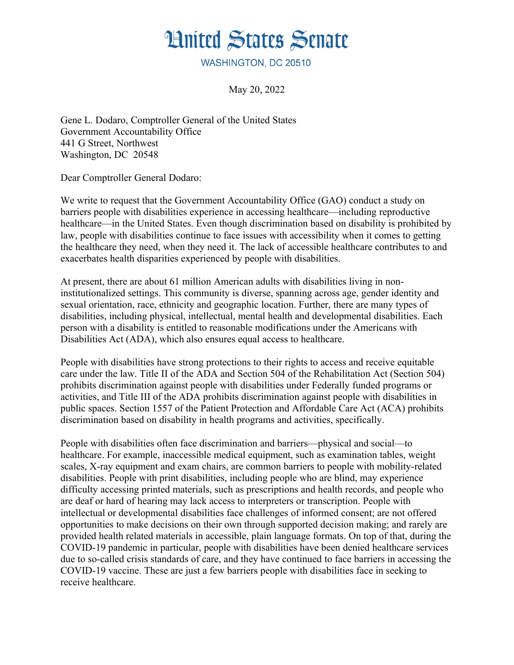

WASHINGTON, DC 20510

May 20, 2022

Gene L. Dodaro, Comptroller General of the United States Government Accountability Office 441 G Street, Northwest Washington, DC 20548

Dear Comptroller General Dodaro:

We write to request that the Government Accountability Office (GAO) conduct a study on barriers people with disabilities experience in accessing healthcare—including reproductive healthcare—in the United States. Even though discrimination based on disability is prohibited by law, people with disabilities continue to face issues with accessibility when it comes to getting the healthcare they need, when they need it. The lack of accessible healthcare contributes to and exacerbates health disparities experienced by people with disabilities.

At present, there are about 61 million American adults with disabilities living in noninstitutionalized settings. This community is diverse, spanning across age, gender identity and sexual orientation, race, ethnicity and geographic location. Further, there are many types of disabilities, including physical, intellectual, mental health and developmental disabilities. Each person with a disability is entitled to reasonable modifications under the Americans with Disabilities Act (ADA), which also ensures equal access to healthcare.

People with disabilities have strong protections to their rights to access and receive equitable care under the law. Title II of the ADA and Section 504 of the Rehabilitation Act (Section 504) prohibits discrimination against people with disabilities under Federally funded programs or activities, and Title III of the ADA prohibits discrimination against people with disabilities in public spaces. Section 1557 of the Patient Protection and Affordable Care Act (ACA) prohibits discrimination based on disability in health programs and activities, specifically.

People with disabilities often face discrimination and barriers—physical and social—to healthcare. For example, inaccessible medical equipment, such as examination tables, weight scales, X-ray equipment and exam chairs, are common barriers to people with mobility-related disabilities. People with print disabilities, including people who are blind, may experience difficulty accessing printed materials, such as prescriptions and health records, and people who are deaf or hard of hearing may lack access to interpreters or transcription. People with intellectual or developmental disabilities face challenges of informed consent; are not offered opportunities to make decisions on their own through supported decision making; and rarely are provided health related materials in accessible, plain language formats. On top of that, during the COVID-19 pandemic in particular, people with disabilities have been denied healthcare services due to so-called crisis standards of care, and they have continued to face barriers in accessing the COVID-19 vaccine. These are just a few barriers people with disabilities face in seeking to receive healthcare.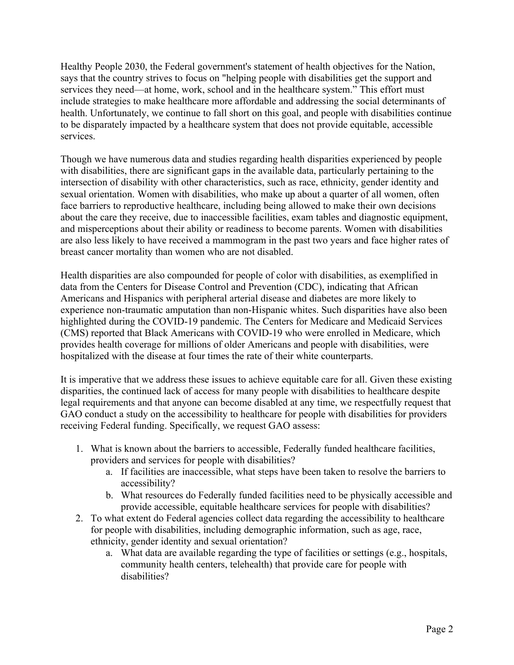Healthy People 2030, the Federal government's statement of health objectives for the Nation, says that the country strives to focus on "helping people with disabilities get the support and services they need—at home, work, school and in the healthcare system." This effort must include strategies to make healthcare more affordable and addressing the social determinants of health. Unfortunately, we continue to fall short on this goal, and people with disabilities continue to be disparately impacted by a healthcare system that does not provide equitable, accessible services.

Though we have numerous data and studies regarding health disparities experienced by people with disabilities, there are significant gaps in the available data, particularly pertaining to the intersection of disability with other characteristics, such as race, ethnicity, gender identity and sexual orientation. Women with disabilities, who make up about a quarter of all women, often face barriers to reproductive healthcare, including being allowed to make their own decisions about the care they receive, due to inaccessible facilities, exam tables and diagnostic equipment, and misperceptions about their ability or readiness to become parents. Women with disabilities are also less likely to have received a mammogram in the past two years and face higher rates of breast cancer mortality than women who are not disabled.

Health disparities are also compounded for people of color with disabilities, as exemplified in data from the Centers for Disease Control and Prevention (CDC), indicating that African Americans and Hispanics with peripheral arterial disease and diabetes are more likely to experience non-traumatic amputation than non-Hispanic whites. Such disparities have also been highlighted during the COVID-19 pandemic. The Centers for Medicare and Medicaid Services (CMS) reported that Black Americans with COVID-19 who were enrolled in Medicare, which provides health coverage for millions of older Americans and people with disabilities, were hospitalized with the disease at four times the rate of their white counterparts.

It is imperative that we address these issues to achieve equitable care for all. Given these existing disparities, the continued lack of access for many people with disabilities to healthcare despite legal requirements and that anyone can become disabled at any time, we respectfully request that GAO conduct a study on the accessibility to healthcare for people with disabilities for providers receiving Federal funding. Specifically, we request GAO assess:

- 1. What is known about the barriers to accessible, Federally funded healthcare facilities, providers and services for people with disabilities?
	- a. If facilities are inaccessible, what steps have been taken to resolve the barriers to accessibility?
	- b. What resources do Federally funded facilities need to be physically accessible and provide accessible, equitable healthcare services for people with disabilities?
- 2. To what extent do Federal agencies collect data regarding the accessibility to healthcare for people with disabilities, including demographic information, such as age, race, ethnicity, gender identity and sexual orientation?
	- a. What data are available regarding the type of facilities or settings (e.g., hospitals, community health centers, telehealth) that provide care for people with disabilities?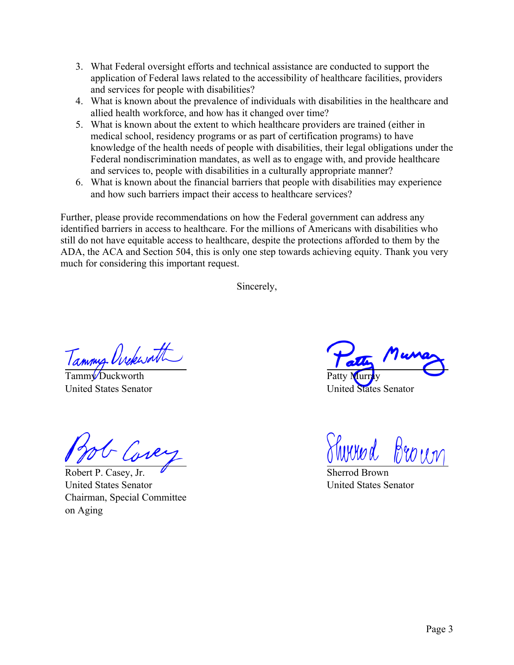- 3. What Federal oversight efforts and technical assistance are conducted to support the application of Federal laws related to the accessibility of healthcare facilities, providers and services for people with disabilities?
- 4. What is known about the prevalence of individuals with disabilities in the healthcare and allied health workforce, and how has it changed over time?
- 5. What is known about the extent to which healthcare providers are trained (either in medical school, residency programs or as part of certification programs) to have knowledge of the health needs of people with disabilities, their legal obligations under the Federal nondiscrimination mandates, as well as to engage with, and provide healthcare and services to, people with disabilities in a culturally appropriate manner?
- 6. What is known about the financial barriers that people with disabilities may experience and how such barriers impact their access to healthcare services?

Further, please provide recommendations on how the Federal government can address any identified barriers in access to healthcare. For the millions of Americans with disabilities who still do not have equitable access to healthcare, despite the protections afforded to them by the ADA, the ACA and Section 504, this is only one step towards achieving equity. Thank you very much for considering this important request.

Sincerely,

Tammy Unclessath

United States Senator

- Core

Robert P. Casey, Jr. United States Senator Chairman, Special Committee on Aging

Patty Murray

United States Senator

nnynd. Broun

Sherrod Brown United States Senator